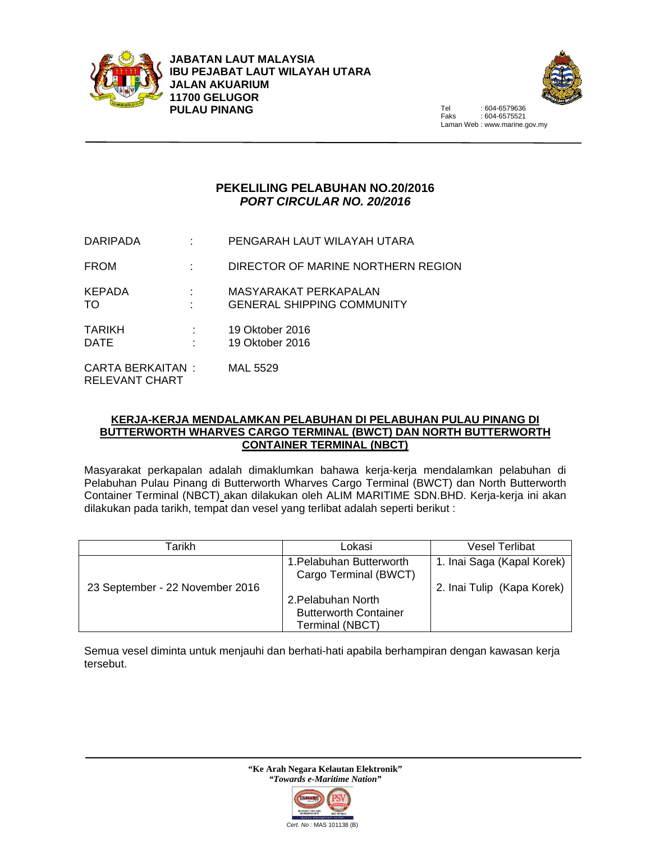



 $.604 - 6575521$ Laman Web : www.marine.gov.my

## **PEKELILING PELABUHAN NO.20/2016**  *PORT CIRCULAR NO. 20/2016*

| <b>DARIPADA</b>                     | PENGARAH LAUT WILAYAH UTARA                                |
|-------------------------------------|------------------------------------------------------------|
| <b>FROM</b>                         | DIRECTOR OF MARINE NORTHERN REGION                         |
| <b>KEPADA</b><br>TO.                | MASYARAKAT PERKAPALAN<br><b>GENERAL SHIPPING COMMUNITY</b> |
| <b>TARIKH</b><br><b>DATE</b>        | 19 Oktober 2016<br>19 Oktober 2016                         |
| CARTA BERKAITAN :<br>RELEVANT CHART | MAL 5529                                                   |

## **KERJA-KERJA MENDALAMKAN PELABUHAN DI PELABUHAN PULAU PINANG DI BUTTERWORTH WHARVES CARGO TERMINAL (BWCT) DAN NORTH BUTTERWORTH CONTAINER TERMINAL (NBCT)**

Masyarakat perkapalan adalah dimaklumkan bahawa kerja-kerja mendalamkan pelabuhan di Pelabuhan Pulau Pinang di Butterworth Wharves Cargo Terminal (BWCT) dan North Butterworth Container Terminal (NBCT) akan dilakukan oleh ALIM MARITIME SDN.BHD. Kerja-kerja ini akan dilakukan pada tarikh, tempat dan vesel yang terlibat adalah seperti berikut :

| Tarikh                          | Lokasi                                            | <b>Vesel Terlibat</b>      |
|---------------------------------|---------------------------------------------------|----------------------------|
|                                 | 1. Pelabuhan Butterworth<br>Cargo Terminal (BWCT) | 1. Inai Saga (Kapal Korek) |
| 23 September - 22 November 2016 |                                                   | 2. Inai Tulip (Kapa Korek) |
|                                 | 2. Pelabuhan North                                |                            |
|                                 | <b>Butterworth Container</b>                      |                            |
|                                 | Terminal (NBCT)                                   |                            |

Semua vesel diminta untuk menjauhi dan berhati-hati apabila berhampiran dengan kawasan kerja tersebut.

> **"Ke Arah Negara Kelautan Elektronik"**  *"Towards e-Maritime Nation"*